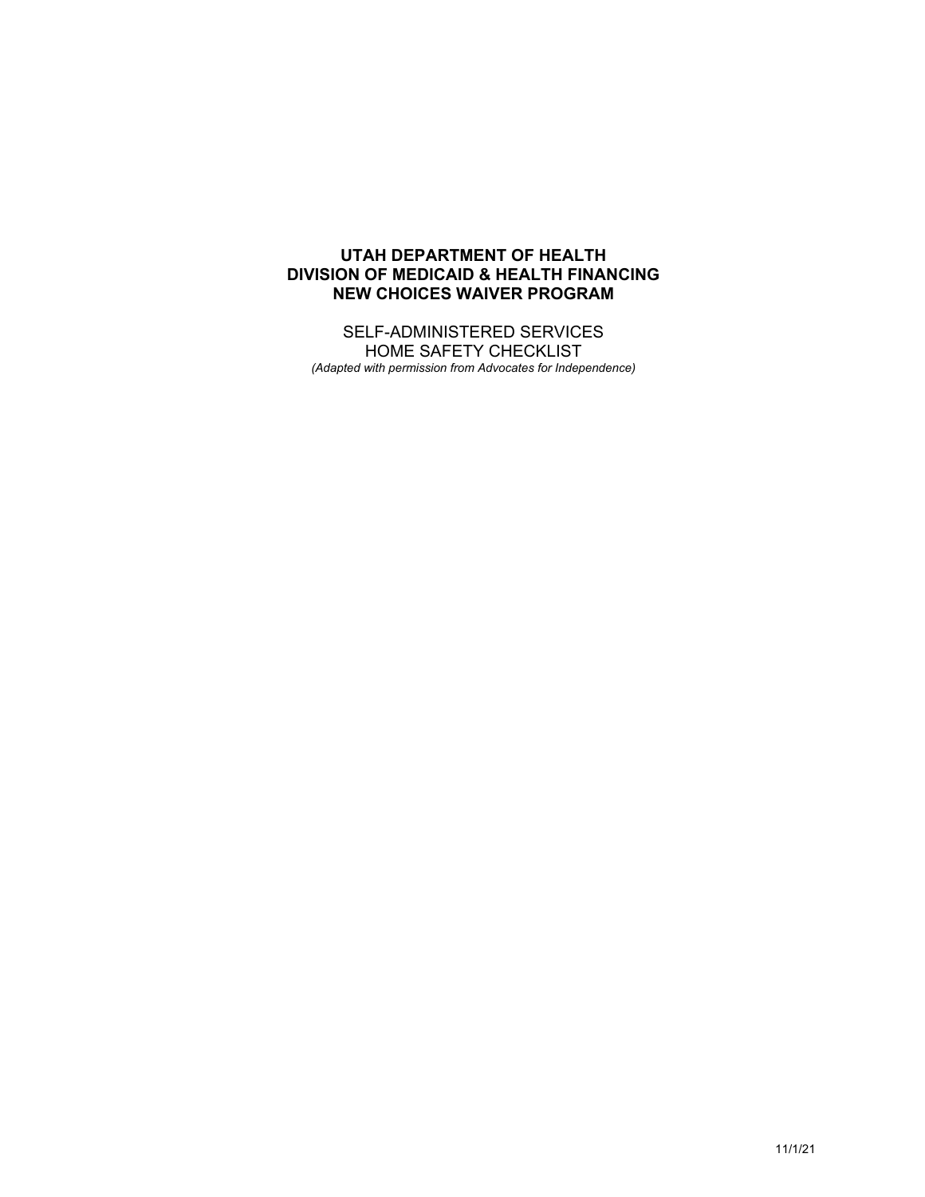## **UTAH DEPARTMENT OF HEALTH DIVISION OF MEDICAID & HEALTH FINANCING NEW CHOICES WAIVER PROGRAM**

SELF-ADMINISTERED SERVICES HOME SAFETY CHECKLIST *(Adapted with permission from Advocates for Independence)*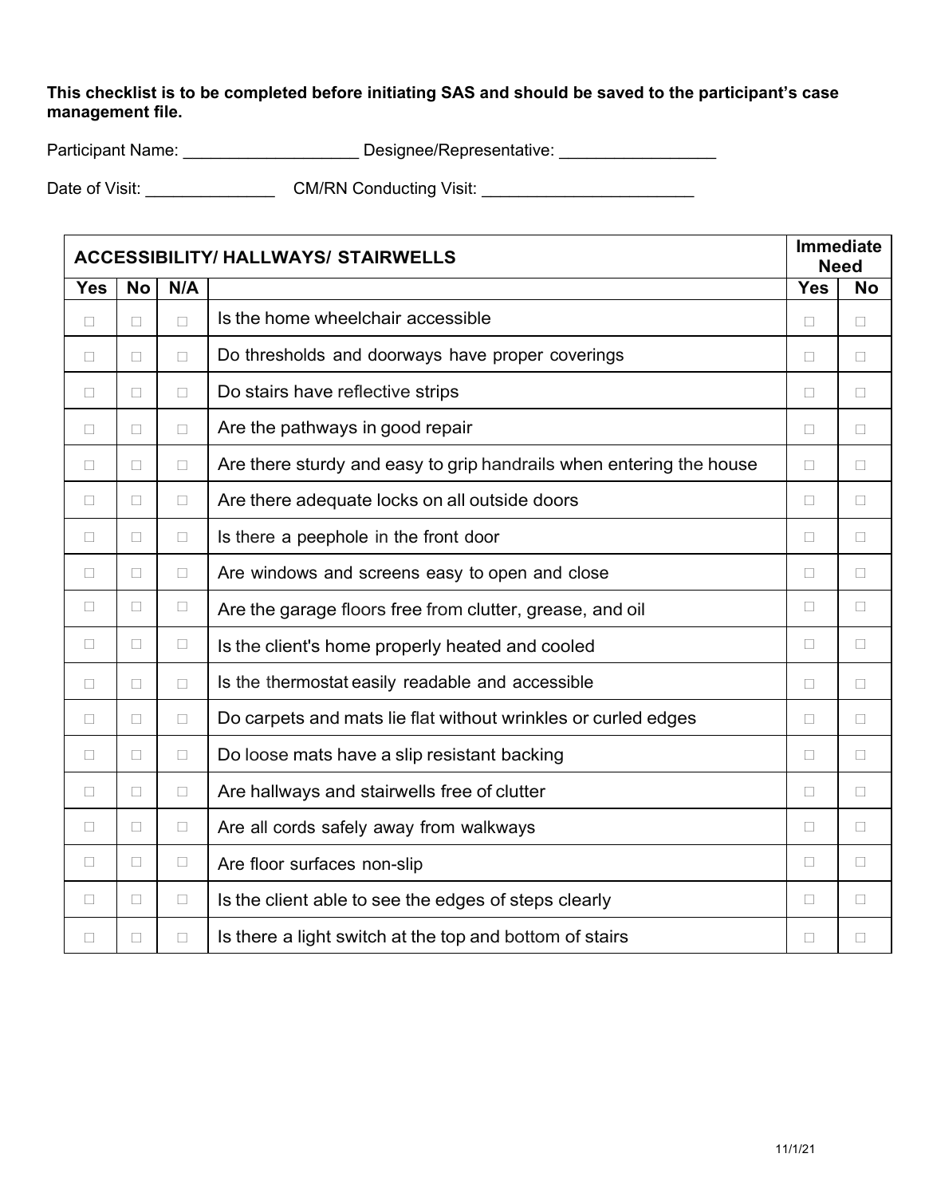**This checklist is to be completed before initiating SAS and should be saved to the participant's case management file.** 

| <b>Participant Name:</b> | Designee/Representative: |
|--------------------------|--------------------------|
|                          |                          |

Date of Visit: \_\_\_\_\_\_\_\_\_\_\_\_\_\_ CM/RN Conducting Visit: \_\_\_\_\_\_\_\_\_\_\_\_\_\_\_\_\_\_\_\_\_\_\_

| <b>ACCESSIBILITY/ HALLWAYS/ STAIRWELLS</b> |           |        |                                                                     | <b>Immediate</b><br><b>Need</b> |           |
|--------------------------------------------|-----------|--------|---------------------------------------------------------------------|---------------------------------|-----------|
| <b>Yes</b>                                 | <b>No</b> | N/A    |                                                                     | Yes                             | <b>No</b> |
| $\Box$                                     | $\Box$    | $\Box$ | Is the home wheelchair accessible                                   | $\Box$                          | $\Box$    |
| $\Box$                                     | $\Box$    | $\Box$ | Do thresholds and doorways have proper coverings                    | $\Box$                          | $\Box$    |
| $\Box$                                     | П         | П      | Do stairs have reflective strips                                    | П                               | $\Box$    |
| $\Box$                                     | $\Box$    | $\Box$ | Are the pathways in good repair                                     | $\Box$                          | $\Box$    |
| $\Box$                                     | $\Box$    | $\Box$ | Are there sturdy and easy to grip handrails when entering the house | $\Box$                          | $\Box$    |
| $\Box$                                     | $\Box$    | $\Box$ | Are there adequate locks on all outside doors                       | $\Box$                          | $\Box$    |
| $\Box$                                     | $\Box$    | $\Box$ | Is there a peephole in the front door                               | $\Box$                          | $\Box$    |
| $\Box$                                     | П         | $\Box$ | Are windows and screens easy to open and close                      | $\Box$                          | П         |
| П                                          | $\Box$    | $\Box$ | Are the garage floors free from clutter, grease, and oil            | П                               | $\Box$    |
| $\Box$                                     | $\Box$    | $\Box$ | Is the client's home properly heated and cooled                     | $\Box$                          | $\Box$    |
| $\Box$                                     | П         | $\Box$ | Is the thermostat easily readable and accessible                    | П                               | П         |
| $\Box$                                     | $\Box$    | $\Box$ | Do carpets and mats lie flat without wrinkles or curled edges       | $\Box$                          | $\Box$    |
| $\Box$                                     | П         | П      | Do loose mats have a slip resistant backing                         | П                               | $\Box$    |
| $\Box$                                     | $\Box$    | $\Box$ | Are hallways and stairwells free of clutter                         | $\Box$                          | $\Box$    |
| $\Box$                                     | $\Box$    | $\Box$ | Are all cords safely away from walkways                             | $\Box$                          | П         |
| $\Box$                                     | $\Box$    | $\Box$ | Are floor surfaces non-slip                                         | П                               | $\Box$    |
| $\Box$                                     | $\Box$    | $\Box$ | Is the client able to see the edges of steps clearly                | $\Box$                          | $\Box$    |
| $\Box$                                     | $\Box$    | $\Box$ | Is there a light switch at the top and bottom of stairs             | $\Box$                          | $\Box$    |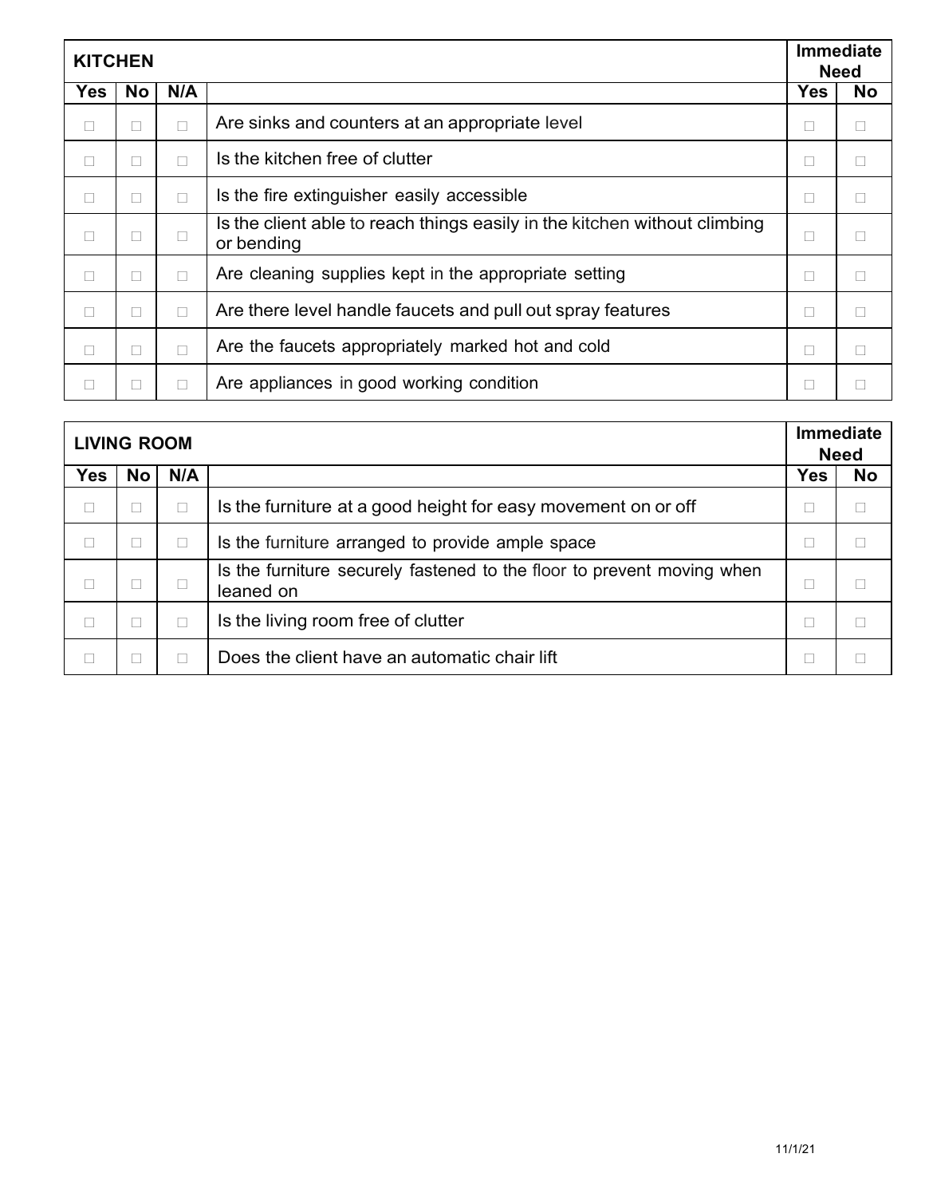| <b>KITCHEN</b> |           |        | <b>Immediate</b><br><b>Need</b>                                                         |     |              |
|----------------|-----------|--------|-----------------------------------------------------------------------------------------|-----|--------------|
| Yes            | <b>No</b> | N/A    |                                                                                         | Yes | <b>No</b>    |
| □              | П         | $\Box$ | Are sinks and counters at an appropriate level                                          | ш   | $\mathbf{1}$ |
| $\Box$         | $\Box$    | $\Box$ | Is the kitchen free of clutter                                                          | П   |              |
| $\Box$         | П         | $\Box$ | Is the fire extinguisher easily accessible                                              | П   |              |
| $\Box$         | $\Box$    | П      | Is the client able to reach things easily in the kitchen without climbing<br>or bending | ш   |              |
| $\Box$         | П         | $\Box$ | Are cleaning supplies kept in the appropriate setting                                   | ш   | п            |
| $\Box$         | П         | П      | Are there level handle faucets and pull out spray features                              |     |              |
| $\Box$         | П         | $\Box$ | Are the faucets appropriately marked hot and cold                                       |     |              |
| □              |           | П      | Are appliances in good working condition                                                |     |              |

| <b>LIVING ROOM</b> |        | <b>Immediate</b><br><b>Need</b> |                                                                                     |     |           |
|--------------------|--------|---------------------------------|-------------------------------------------------------------------------------------|-----|-----------|
| <b>Yes</b>         | No     | N/A                             |                                                                                     | Yes | <b>No</b> |
| $\Box$             |        | $\Box$                          | Is the furniture at a good height for easy movement on or off                       |     | П         |
|                    | $\Box$ | $\Box$                          | Is the furniture arranged to provide ample space                                    |     |           |
|                    |        |                                 | Is the furniture securely fastened to the floor to prevent moving when<br>leaned on |     |           |
|                    |        | $\Box$                          | Is the living room free of clutter                                                  |     |           |
|                    |        |                                 | Does the client have an automatic chair lift                                        |     |           |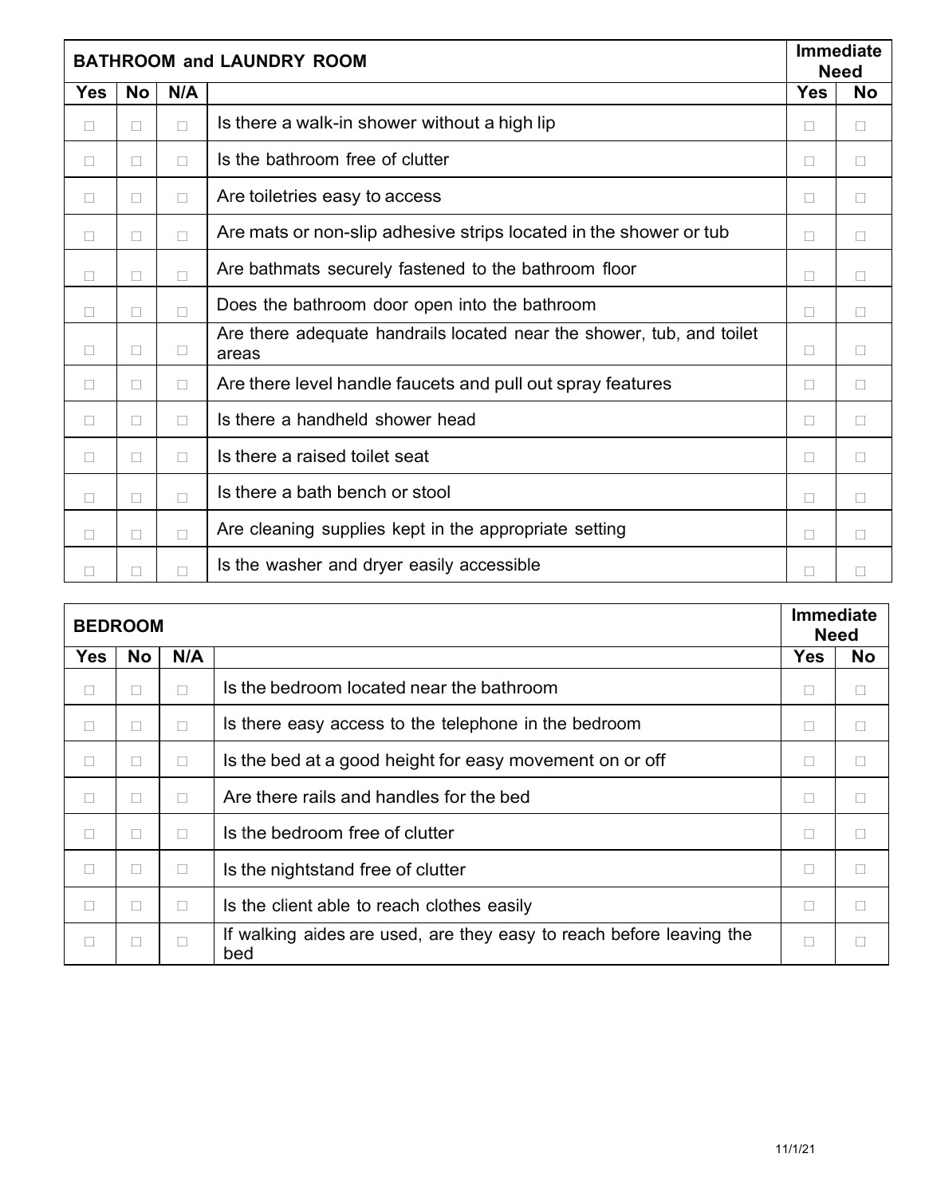|            | <b>BATHROOM and LAUNDRY ROOM</b> |        |                                                                                | <b>Immediate</b><br><b>Need</b> |           |
|------------|----------------------------------|--------|--------------------------------------------------------------------------------|---------------------------------|-----------|
| <b>Yes</b> | <b>No</b>                        | N/A    |                                                                                | <b>Yes</b>                      | <b>No</b> |
| $\Box$     | П                                | П      | Is there a walk-in shower without a high lip                                   | П                               | $\Box$    |
| $\Box$     | $\Box$                           | $\Box$ | Is the bathroom free of clutter                                                | П                               | $\Box$    |
| $\Box$     | $\Box$                           | $\Box$ | Are toiletries easy to access                                                  | П                               | $\Box$    |
| $\Box$     | $\Box$                           | П      | Are mats or non-slip adhesive strips located in the shower or tub              | П                               | $\Box$    |
| $\Box$     | $\Box$                           | П      | Are bathmats securely fastened to the bathroom floor                           | $\Box$                          | $\Box$    |
| $\Box$     | $\Box$                           | $\Box$ | Does the bathroom door open into the bathroom                                  | П                               | П         |
| $\Box$     | $\Box$                           | $\Box$ | Are there adequate handrails located near the shower, tub, and toilet<br>areas | П                               | $\Box$    |
| $\Box$     | $\Box$                           | $\Box$ | Are there level handle faucets and pull out spray features                     | □                               | $\Box$    |
| $\Box$     | $\Box$                           | $\Box$ | Is there a handheld shower head                                                | П                               | $\Box$    |
| $\Box$     | $\Box$                           | $\Box$ | Is there a raised toilet seat                                                  | П                               | П         |
| $\Box$     | П                                | $\Box$ | Is there a bath bench or stool                                                 | П                               | $\Box$    |
| $\Box$     | $\Box$                           | $\Box$ | Are cleaning supplies kept in the appropriate setting                          | П                               | $\Box$    |
| $\Box$     | П                                | $\Box$ | Is the washer and dryer easily accessible                                      | $\mathbf{L}$                    | Ш         |

| <b>BEDROOM</b> |           | <b>Immediate</b><br><b>Need</b> |                                                                             |            |           |
|----------------|-----------|---------------------------------|-----------------------------------------------------------------------------|------------|-----------|
| <b>Yes</b>     | <b>No</b> | N/A                             |                                                                             | <b>Yes</b> | <b>No</b> |
| □              | $\Box$    | П                               | Is the bedroom located near the bathroom                                    | $\Box$     |           |
| $\Box$         | П         | П                               | Is there easy access to the telephone in the bedroom                        |            |           |
| $\Box$         | П         | $\Box$                          | Is the bed at a good height for easy movement on or off                     |            |           |
| $\Box$         | П         | $\Box$                          | Are there rails and handles for the bed                                     | п          |           |
| $\Box$         | П         | $\Box$                          | Is the bedroom free of clutter                                              | П          |           |
| $\Box$         | $\Box$    | $\Box$                          | Is the nightstand free of clutter                                           |            |           |
| П              |           | $\Box$                          | Is the client able to reach clothes easily                                  | П          |           |
| □              | $\Box$    | $\Box$                          | If walking aides are used, are they easy to reach before leaving the<br>bed |            |           |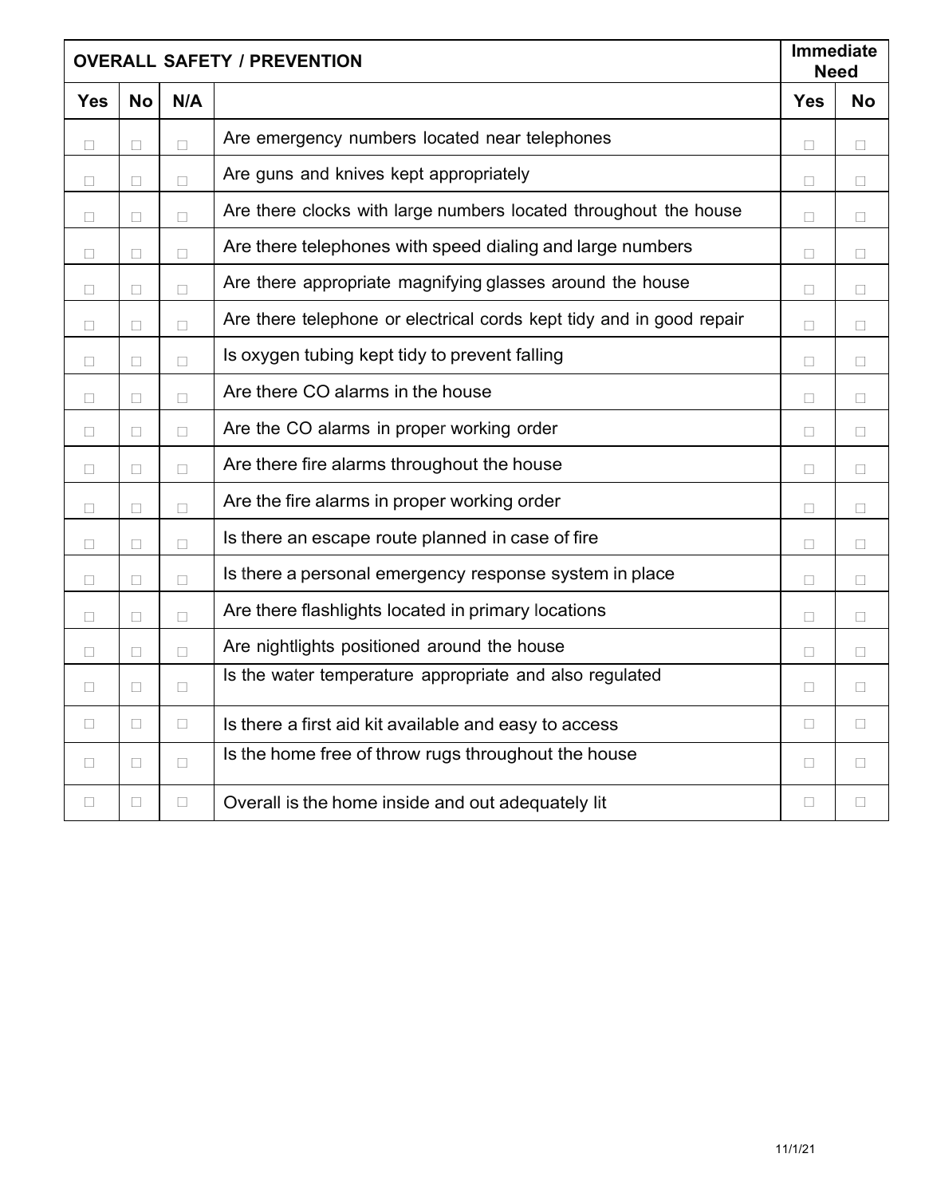|            | <b>OVERALL SAFETY / PREVENTION</b> |        |                                                                      | Immediate<br><b>Need</b> |           |
|------------|------------------------------------|--------|----------------------------------------------------------------------|--------------------------|-----------|
| <b>Yes</b> | <b>No</b>                          | N/A    |                                                                      | <b>Yes</b>               | <b>No</b> |
| $\Box$     | $\Box$                             | $\Box$ | Are emergency numbers located near telephones                        | $\Box$                   | $\Box$    |
| $\Box$     | $\Box$                             | $\Box$ | Are guns and knives kept appropriately                               | $\Box$                   | П         |
| □          | $\Box$                             | $\Box$ | Are there clocks with large numbers located throughout the house     | $\Box$                   | П         |
| $\Box$     | $\Box$                             | $\Box$ | Are there telephones with speed dialing and large numbers            | $\Box$                   | $\Box$    |
| $\Box$     | $\Box$                             | $\Box$ | Are there appropriate magnifying glasses around the house            | П                        | П         |
| $\Box$     | $\Box$                             | $\Box$ | Are there telephone or electrical cords kept tidy and in good repair | $\Box$                   | П         |
| □          | $\Box$                             | $\Box$ | Is oxygen tubing kept tidy to prevent falling                        | $\Box$                   | П         |
| $\Box$     | $\Box$                             | $\Box$ | Are there CO alarms in the house                                     | $\Box$                   | $\Box$    |
| П          | □                                  | $\Box$ | Are the CO alarms in proper working order                            | П                        | П         |
| □          | П                                  | $\Box$ | Are there fire alarms throughout the house                           | $\Box$                   | П         |
| $\Box$     | $\Box$                             | $\Box$ | Are the fire alarms in proper working order                          | $\Box$                   | П         |
| П          | П                                  | $\Box$ | Is there an escape route planned in case of fire                     | П                        | П         |
| П          | П                                  | $\Box$ | Is there a personal emergency response system in place               | П                        | П         |
| П          | П                                  | $\Box$ | Are there flashlights located in primary locations                   | П                        | П         |
| □          | $\Box$                             | $\Box$ | Are nightlights positioned around the house                          | $\Box$                   | $\Box$    |
| $\Box$     | $\Box$                             | $\Box$ | Is the water temperature appropriate and also regulated              | $\Box$                   | $\Box$    |
| □          | $\Box$                             | $\Box$ | Is there a first aid kit available and easy to access                | $\Box$                   | $\Box$    |
| □          | $\Box$                             | $\Box$ | Is the home free of throw rugs throughout the house                  | П                        | П         |
| $\Box$     | $\Box$                             | $\Box$ | Overall is the home inside and out adequately lit                    | $\Box$                   | $\Box$    |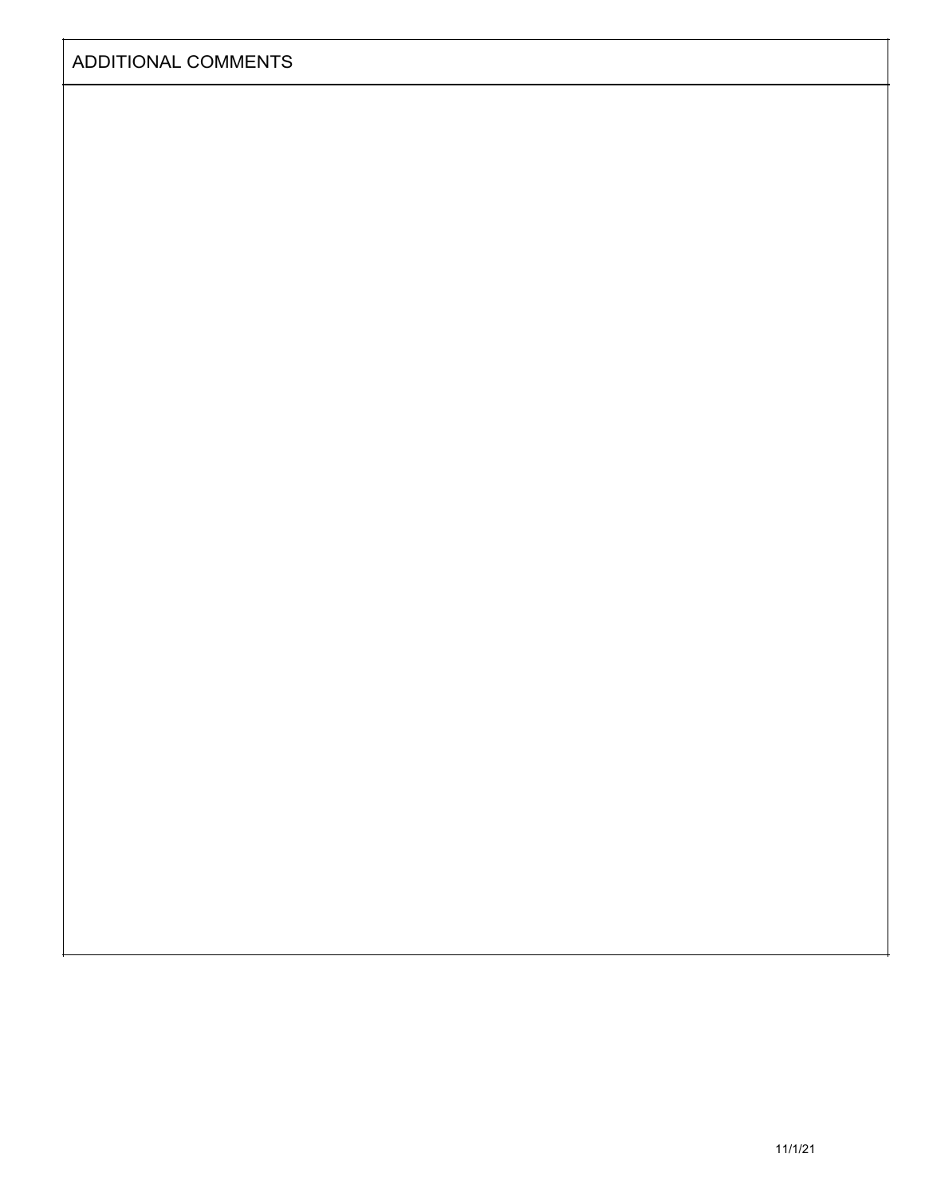| <b>ADDITIONAL COMMENTS</b> |  |
|----------------------------|--|
|----------------------------|--|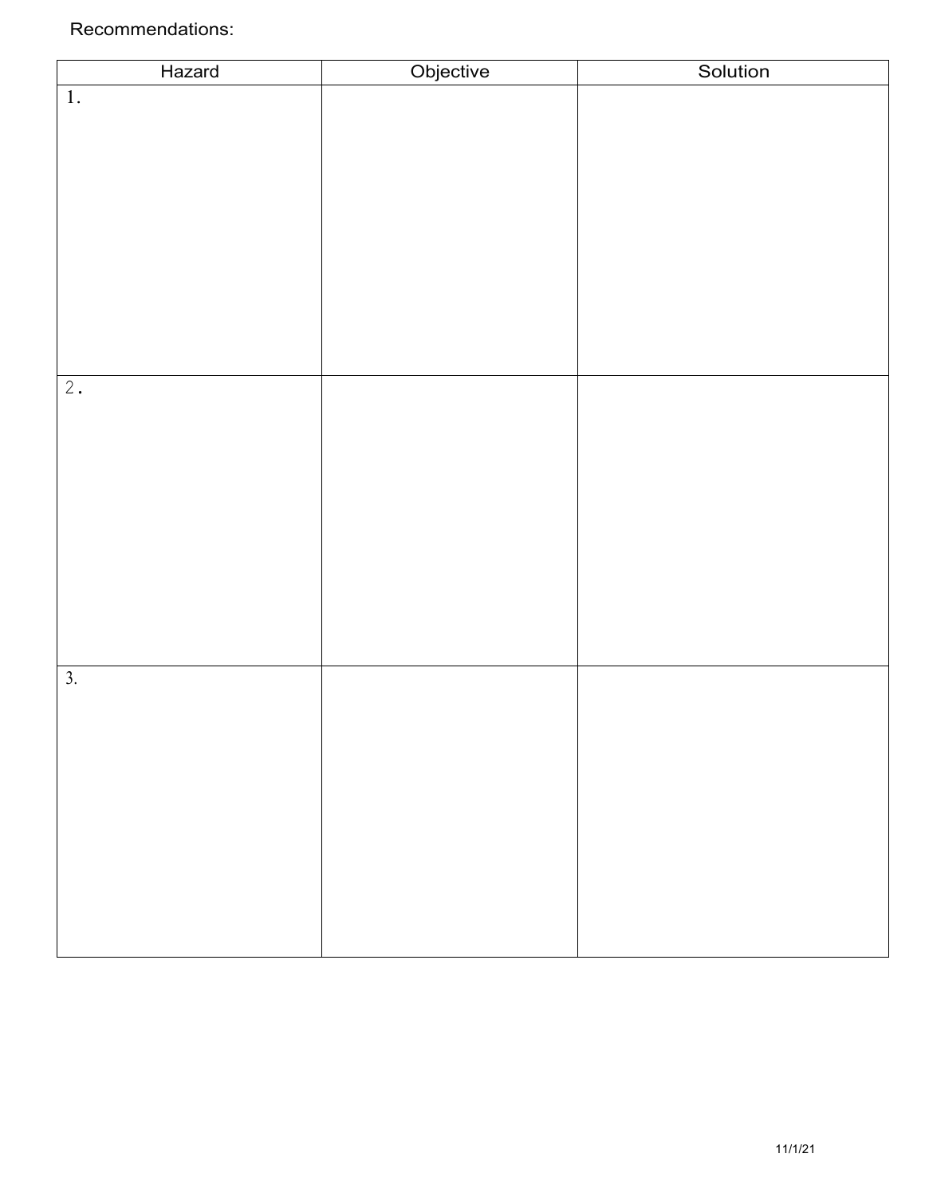## Recommendations:

| Hazard           | Objective | Solution |
|------------------|-----------|----------|
| $1.$             |           |          |
|                  |           |          |
|                  |           |          |
|                  |           |          |
|                  |           |          |
|                  |           |          |
|                  |           |          |
|                  |           |          |
|                  |           |          |
|                  |           |          |
|                  |           |          |
| 2.               |           |          |
|                  |           |          |
|                  |           |          |
|                  |           |          |
|                  |           |          |
|                  |           |          |
|                  |           |          |
|                  |           |          |
|                  |           |          |
|                  |           |          |
| $\overline{3}$ . |           |          |
|                  |           |          |
|                  |           |          |
|                  |           |          |
|                  |           |          |
|                  |           |          |
|                  |           |          |
|                  |           |          |
|                  |           |          |
|                  |           |          |
|                  |           |          |